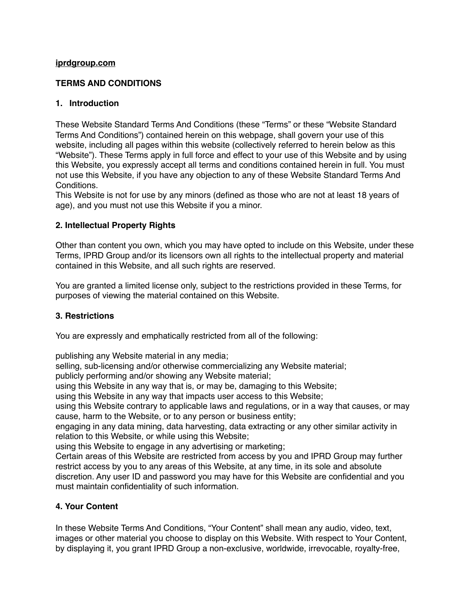## **[iprdgroup.com](http://iprdgroup.com)**

# **TERMS AND CONDITIONS**

## **1. Introduction**

These Website Standard Terms And Conditions (these "Terms" or these "Website Standard Terms And Conditions") contained herein on this webpage, shall govern your use of this website, including all pages within this website (collectively referred to herein below as this "Website"). These Terms apply in full force and effect to your use of this Website and by using this Website, you expressly accept all terms and conditions contained herein in full. You must not use this Website, if you have any objection to any of these Website Standard Terms And Conditions.

This Website is not for use by any minors (defined as those who are not at least 18 years of age), and you must not use this Website if you a minor.

# **2. Intellectual Property Rights**

Other than content you own, which you may have opted to include on this Website, under these Terms, IPRD Group and/or its licensors own all rights to the intellectual property and material contained in this Website, and all such rights are reserved.

You are granted a limited license only, subject to the restrictions provided in these Terms, for purposes of viewing the material contained on this Website.

### **3. Restrictions**

You are expressly and emphatically restricted from all of the following:

publishing any Website material in any media;

selling, sub-licensing and/or otherwise commercializing any Website material;

publicly performing and/or showing any Website material;

using this Website in any way that is, or may be, damaging to this Website;

using this Website in any way that impacts user access to this Website;

using this Website contrary to applicable laws and regulations, or in a way that causes, or may cause, harm to the Website, or to any person or business entity;

engaging in any data mining, data harvesting, data extracting or any other similar activity in relation to this Website, or while using this Website;

using this Website to engage in any advertising or marketing;

Certain areas of this Website are restricted from access by you and IPRD Group may further restrict access by you to any areas of this Website, at any time, in its sole and absolute discretion. Any user ID and password you may have for this Website are confidential and you must maintain confidentiality of such information.

# **4. Your Content**

In these Website Terms And Conditions, "Your Content" shall mean any audio, video, text, images or other material you choose to display on this Website. With respect to Your Content, by displaying it, you grant IPRD Group a non-exclusive, worldwide, irrevocable, royalty-free,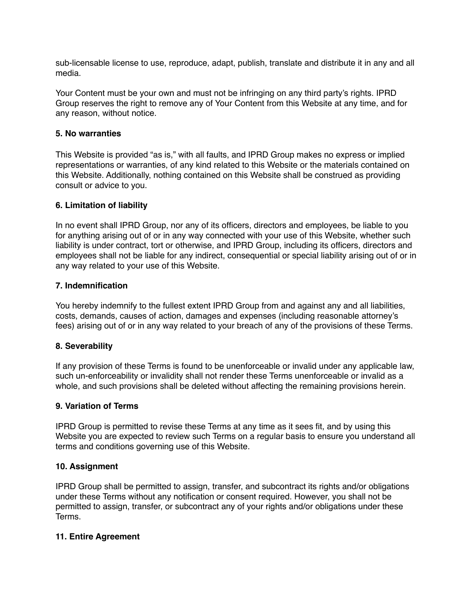sub-licensable license to use, reproduce, adapt, publish, translate and distribute it in any and all media.

Your Content must be your own and must not be infringing on any third party's rights. IPRD Group reserves the right to remove any of Your Content from this Website at any time, and for any reason, without notice.

### **5. No warranties**

This Website is provided "as is," with all faults, and IPRD Group makes no express or implied representations or warranties, of any kind related to this Website or the materials contained on this Website. Additionally, nothing contained on this Website shall be construed as providing consult or advice to you.

### **6. Limitation of liability**

In no event shall IPRD Group, nor any of its officers, directors and employees, be liable to you for anything arising out of or in any way connected with your use of this Website, whether such liability is under contract, tort or otherwise, and IPRD Group, including its officers, directors and employees shall not be liable for any indirect, consequential or special liability arising out of or in any way related to your use of this Website.

### **7. Indemnification**

You hereby indemnify to the fullest extent IPRD Group from and against any and all liabilities, costs, demands, causes of action, damages and expenses (including reasonable attorney's fees) arising out of or in any way related to your breach of any of the provisions of these Terms.

### **8. Severability**

If any provision of these Terms is found to be unenforceable or invalid under any applicable law, such un-enforceability or invalidity shall not render these Terms unenforceable or invalid as a whole, and such provisions shall be deleted without affecting the remaining provisions herein.

### **9. Variation of Terms**

IPRD Group is permitted to revise these Terms at any time as it sees fit, and by using this Website you are expected to review such Terms on a regular basis to ensure you understand all terms and conditions governing use of this Website.

#### **10. Assignment**

IPRD Group shall be permitted to assign, transfer, and subcontract its rights and/or obligations under these Terms without any notification or consent required. However, you shall not be permitted to assign, transfer, or subcontract any of your rights and/or obligations under these Terms.

#### **11. Entire Agreement**